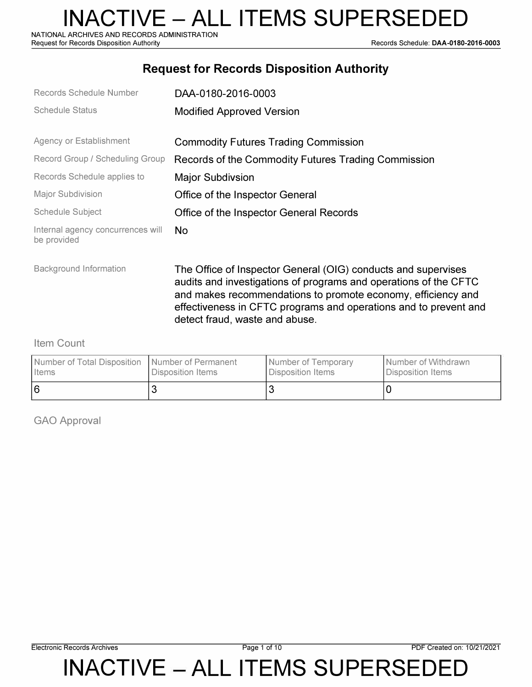NATIONAL ARCHIVES AND RECORDS ADMINISTRATION<br>Request for Records Disposition Authority

Records Schedule: DAA-0180-2016-0003

#### **Request for Records Disposition Authority**

| Records Schedule Number                          | DAA-0180-2016-0003                                                                                                                                                                                                                                                    |
|--------------------------------------------------|-----------------------------------------------------------------------------------------------------------------------------------------------------------------------------------------------------------------------------------------------------------------------|
| <b>Schedule Status</b>                           | <b>Modified Approved Version</b>                                                                                                                                                                                                                                      |
| Agency or Establishment                          | <b>Commodity Futures Trading Commission</b>                                                                                                                                                                                                                           |
| Record Group / Scheduling Group                  | Records of the Commodity Futures Trading Commission                                                                                                                                                                                                                   |
| Records Schedule applies to                      | <b>Major Subdivsion</b>                                                                                                                                                                                                                                               |
| <b>Major Subdivision</b>                         | Office of the Inspector General                                                                                                                                                                                                                                       |
| <b>Schedule Subject</b>                          | Office of the Inspector General Records                                                                                                                                                                                                                               |
| Internal agency concurrences will<br>be provided | No.                                                                                                                                                                                                                                                                   |
| Background Information                           | The Office of Inspector General (OIG) conducts and supervises<br>audits and investigations of programs and operations of the CFTC<br>and makes recommendations to promote economy, efficiency and<br>effectiveness in CFTC programs and operations and to prevent and |

detect fraud, waste and abuse.

#### Item Count

| Number of Total Disposition   Number of Permanent | Disposition Items | Number of Temporary | I Number of Withdrawn |
|---------------------------------------------------|-------------------|---------------------|-----------------------|
| <b>I</b> Items                                    |                   | Disposition Items   | Disposition Items     |
| 16                                                |                   |                     |                       |

GAO Approval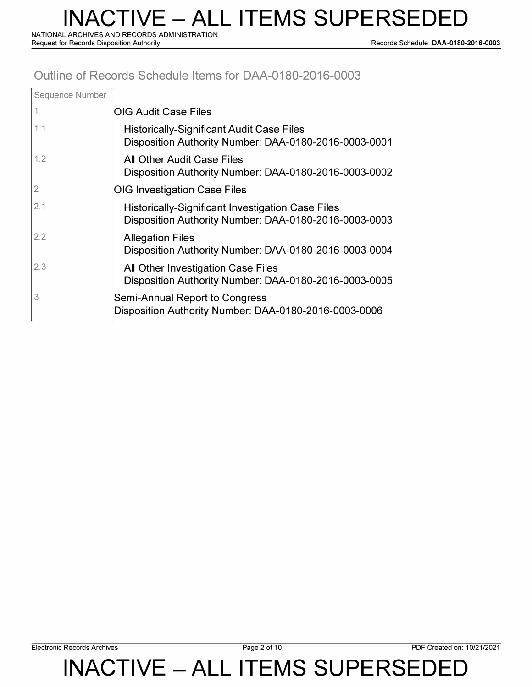**NATIONAL ARCHIVES AND RECORDS ADMINISTRATION** 

**Request for Records Disposition Authority Records Schedule: DAA-0180-2016-0003** 

#### **Outline of Records Schedule Items for DAA-0180-2016-0003**

| Sequence Number |                                                                                                                   |
|-----------------|-------------------------------------------------------------------------------------------------------------------|
|                 | <b>OIG Audit Case Files</b>                                                                                       |
| 1.1             | <b>Historically-Significant Audit Case Files</b><br>Disposition Authority Number: DAA-0180-2016-0003-0001         |
| 1.2             | All Other Audit Case Files<br>Disposition Authority Number: DAA-0180-2016-0003-0002                               |
| 2               | <b>OIG Investigation Case Files</b>                                                                               |
| 2.1             | <b>Historically-Significant Investigation Case Files</b><br>Disposition Authority Number: DAA-0180-2016-0003-0003 |
| 2.2             | <b>Allegation Files</b><br>Disposition Authority Number: DAA-0180-2016-0003-0004                                  |
| 2.3             | All Other Investigation Case Files<br>Disposition Authority Number: DAA-0180-2016-0003-0005                       |
| 3               | Semi-Annual Report to Congress<br>Disposition Authority Number: DAA-0180-2016-0003-0006                           |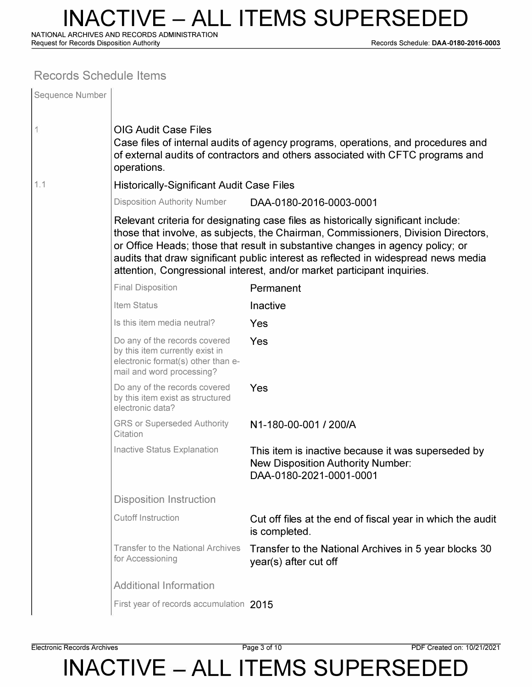**NATIONAL ARCHIVES AND RECORDS ADMINISTRATION** 

**Request for Records Disposition Authority Records Schedule: DAA-0180-2016-0003** 

#### **Records Schedule Items**

| Sequence Number |                                                                                                                                                                                                                  |                                                                                                                                                                                                                                                                                                                                                                                                                           |  |  |  |
|-----------------|------------------------------------------------------------------------------------------------------------------------------------------------------------------------------------------------------------------|---------------------------------------------------------------------------------------------------------------------------------------------------------------------------------------------------------------------------------------------------------------------------------------------------------------------------------------------------------------------------------------------------------------------------|--|--|--|
| 1               | <b>OIG Audit Case Files</b><br>Case files of internal audits of agency programs, operations, and procedures and<br>of external audits of contractors and others associated with CFTC programs and<br>operations. |                                                                                                                                                                                                                                                                                                                                                                                                                           |  |  |  |
| 1.1             | <b>Historically-Significant Audit Case Files</b>                                                                                                                                                                 |                                                                                                                                                                                                                                                                                                                                                                                                                           |  |  |  |
|                 | <b>Disposition Authority Number</b><br>DAA-0180-2016-0003-0001                                                                                                                                                   |                                                                                                                                                                                                                                                                                                                                                                                                                           |  |  |  |
|                 |                                                                                                                                                                                                                  | Relevant criteria for designating case files as historically significant include:<br>those that involve, as subjects, the Chairman, Commissioners, Division Directors,<br>or Office Heads; those that result in substantive changes in agency policy; or<br>audits that draw significant public interest as reflected in widespread news media<br>attention, Congressional interest, and/or market participant inquiries. |  |  |  |
|                 | <b>Final Disposition</b>                                                                                                                                                                                         | Permanent                                                                                                                                                                                                                                                                                                                                                                                                                 |  |  |  |
|                 | Item Status                                                                                                                                                                                                      | Inactive                                                                                                                                                                                                                                                                                                                                                                                                                  |  |  |  |
|                 | Is this item media neutral?                                                                                                                                                                                      | Yes                                                                                                                                                                                                                                                                                                                                                                                                                       |  |  |  |
|                 | Do any of the records covered<br>by this item currently exist in<br>electronic format(s) other than e-<br>mail and word processing?                                                                              | Yes                                                                                                                                                                                                                                                                                                                                                                                                                       |  |  |  |
|                 | Do any of the records covered<br>by this item exist as structured<br>electronic data?                                                                                                                            | Yes                                                                                                                                                                                                                                                                                                                                                                                                                       |  |  |  |
|                 | <b>GRS or Superseded Authority</b><br>Citation                                                                                                                                                                   | N1-180-00-001 / 200/A                                                                                                                                                                                                                                                                                                                                                                                                     |  |  |  |
|                 | Inactive Status Explanation                                                                                                                                                                                      | This item is inactive because it was superseded by<br><b>New Disposition Authority Number:</b><br>DAA-0180-2021-0001-0001                                                                                                                                                                                                                                                                                                 |  |  |  |
|                 | <b>Disposition Instruction</b>                                                                                                                                                                                   |                                                                                                                                                                                                                                                                                                                                                                                                                           |  |  |  |
|                 | <b>Cutoff Instruction</b>                                                                                                                                                                                        | Cut off files at the end of fiscal year in which the audit<br>is completed.                                                                                                                                                                                                                                                                                                                                               |  |  |  |
|                 | <b>Transfer to the National Archives</b><br>for Accessioning                                                                                                                                                     | Transfer to the National Archives in 5 year blocks 30<br>year(s) after cut off                                                                                                                                                                                                                                                                                                                                            |  |  |  |
|                 | <b>Additional Information</b>                                                                                                                                                                                    |                                                                                                                                                                                                                                                                                                                                                                                                                           |  |  |  |
|                 | First year of records accumulation 2015                                                                                                                                                                          |                                                                                                                                                                                                                                                                                                                                                                                                                           |  |  |  |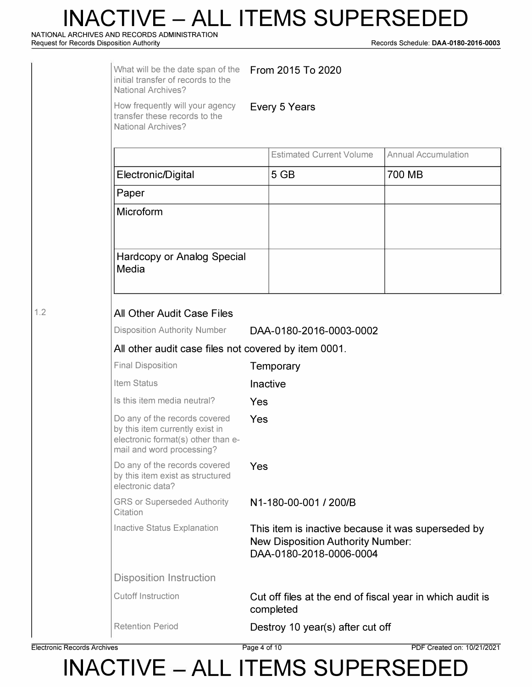**NATIONAL ARCHIVES AND RECORDS ADMINISTRATION** 

**Request for Records Disposition Authority Records Schedule: DAA-0180-2016-0003** 

|     | What will be the date span of the<br>initial transfer of records to the<br><b>National Archives?</b>                                |                                                      | From 2015 To 2020                                                                                                         |                            |  |  |  |
|-----|-------------------------------------------------------------------------------------------------------------------------------------|------------------------------------------------------|---------------------------------------------------------------------------------------------------------------------------|----------------------------|--|--|--|
|     | How frequently will your agency<br>transfer these records to the<br><b>National Archives?</b>                                       | Every 5 Years                                        |                                                                                                                           |                            |  |  |  |
|     |                                                                                                                                     |                                                      | <b>Estimated Current Volume</b>                                                                                           | <b>Annual Accumulation</b> |  |  |  |
|     | Electronic/Digital                                                                                                                  |                                                      |                                                                                                                           | 700 MB                     |  |  |  |
|     | Paper                                                                                                                               |                                                      |                                                                                                                           |                            |  |  |  |
|     | Microform                                                                                                                           |                                                      |                                                                                                                           |                            |  |  |  |
|     | Hardcopy or Analog Special<br>Media                                                                                                 |                                                      |                                                                                                                           |                            |  |  |  |
| 1.2 | All Other Audit Case Files                                                                                                          |                                                      |                                                                                                                           |                            |  |  |  |
|     | <b>Disposition Authority Number</b>                                                                                                 | DAA-0180-2016-0003-0002                              |                                                                                                                           |                            |  |  |  |
|     |                                                                                                                                     | All other audit case files not covered by item 0001. |                                                                                                                           |                            |  |  |  |
|     | <b>Final Disposition</b>                                                                                                            |                                                      | Temporary                                                                                                                 |                            |  |  |  |
|     | Item Status                                                                                                                         |                                                      | Inactive                                                                                                                  |                            |  |  |  |
|     | Is this item media neutral?                                                                                                         | Yes                                                  |                                                                                                                           |                            |  |  |  |
|     | Do any of the records covered<br>by this item currently exist in<br>electronic format(s) other than e-<br>mail and word processing? | Yes                                                  |                                                                                                                           |                            |  |  |  |
|     | Do any of the records covered<br>by this item exist as structured<br>electronic data?                                               | Yes                                                  |                                                                                                                           |                            |  |  |  |
|     | <b>GRS or Superseded Authority</b><br>Citation                                                                                      |                                                      | N1-180-00-001 / 200/B                                                                                                     |                            |  |  |  |
|     | Inactive Status Explanation                                                                                                         |                                                      | This item is inactive because it was superseded by<br><b>New Disposition Authority Number:</b><br>DAA-0180-2018-0006-0004 |                            |  |  |  |
|     | <b>Disposition Instruction</b>                                                                                                      |                                                      |                                                                                                                           |                            |  |  |  |
|     | <b>Cutoff Instruction</b>                                                                                                           |                                                      | Cut off files at the end of fiscal year in which audit is<br>completed                                                    |                            |  |  |  |
|     | <b>Retention Period</b>                                                                                                             |                                                      | Destroy 10 year(s) after cut off                                                                                          |                            |  |  |  |

**Electronic Records Archives Page 4 of 10 PDF Created on: 10/21/2021**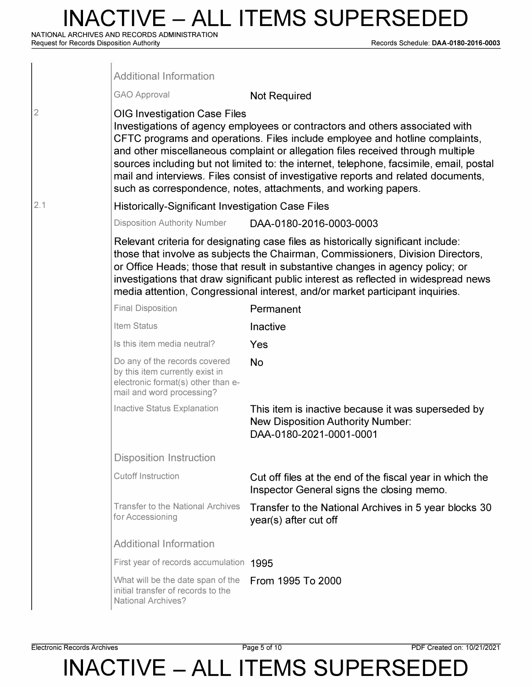**NATIONAL ARCHIVES AND RECORDS ADMINISTRATION** 

**Request for Records Disposition Authority Records Schedule: DAA-0180-2016-0003** 

|              | <b>Additional Information</b>                                                                                                       |                                                                                                                                                                                                                                                                                                                                                                                                                                                                                                     |
|--------------|-------------------------------------------------------------------------------------------------------------------------------------|-----------------------------------------------------------------------------------------------------------------------------------------------------------------------------------------------------------------------------------------------------------------------------------------------------------------------------------------------------------------------------------------------------------------------------------------------------------------------------------------------------|
|              | <b>GAO Approval</b>                                                                                                                 | <b>Not Required</b>                                                                                                                                                                                                                                                                                                                                                                                                                                                                                 |
| $\mathbf{2}$ | <b>OIG Investigation Case Files</b>                                                                                                 | Investigations of agency employees or contractors and others associated with<br>CFTC programs and operations. Files include employee and hotline complaints,<br>and other miscellaneous complaint or allegation files received through multiple<br>sources including but not limited to: the internet, telephone, facsimile, email, postal<br>mail and interviews. Files consist of investigative reports and related documents,<br>such as correspondence, notes, attachments, and working papers. |
| 2.1          | <b>Historically-Significant Investigation Case Files</b>                                                                            |                                                                                                                                                                                                                                                                                                                                                                                                                                                                                                     |
|              | <b>Disposition Authority Number</b>                                                                                                 | DAA-0180-2016-0003-0003                                                                                                                                                                                                                                                                                                                                                                                                                                                                             |
|              |                                                                                                                                     | Relevant criteria for designating case files as historically significant include:<br>those that involve as subjects the Chairman, Commissioners, Division Directors,<br>or Office Heads; those that result in substantive changes in agency policy; or<br>investigations that draw significant public interest as reflected in widespread news<br>media attention, Congressional interest, and/or market participant inquiries.                                                                     |
|              | <b>Final Disposition</b>                                                                                                            | Permanent                                                                                                                                                                                                                                                                                                                                                                                                                                                                                           |
|              | Item Status                                                                                                                         | Inactive                                                                                                                                                                                                                                                                                                                                                                                                                                                                                            |
|              | Is this item media neutral?                                                                                                         | Yes                                                                                                                                                                                                                                                                                                                                                                                                                                                                                                 |
|              | Do any of the records covered<br>by this item currently exist in<br>electronic format(s) other than e-<br>mail and word processing? | <b>No</b>                                                                                                                                                                                                                                                                                                                                                                                                                                                                                           |
|              | Inactive Status Explanation                                                                                                         | This item is inactive because it was superseded by<br><b>New Disposition Authority Number:</b><br>DAA-0180-2021-0001-0001                                                                                                                                                                                                                                                                                                                                                                           |
|              | <b>Disposition Instruction</b>                                                                                                      |                                                                                                                                                                                                                                                                                                                                                                                                                                                                                                     |
|              | <b>Cutoff Instruction</b>                                                                                                           | Cut off files at the end of the fiscal year in which the<br>Inspector General signs the closing memo.                                                                                                                                                                                                                                                                                                                                                                                               |
|              | <b>Transfer to the National Archives</b><br>for Accessioning                                                                        | Transfer to the National Archives in 5 year blocks 30<br>year(s) after cut off                                                                                                                                                                                                                                                                                                                                                                                                                      |
|              | <b>Additional Information</b>                                                                                                       |                                                                                                                                                                                                                                                                                                                                                                                                                                                                                                     |
|              | First year of records accumulation 1995                                                                                             |                                                                                                                                                                                                                                                                                                                                                                                                                                                                                                     |
|              | What will be the date span of the<br>initial transfer of records to the<br><b>National Archives?</b>                                | From 1995 To 2000                                                                                                                                                                                                                                                                                                                                                                                                                                                                                   |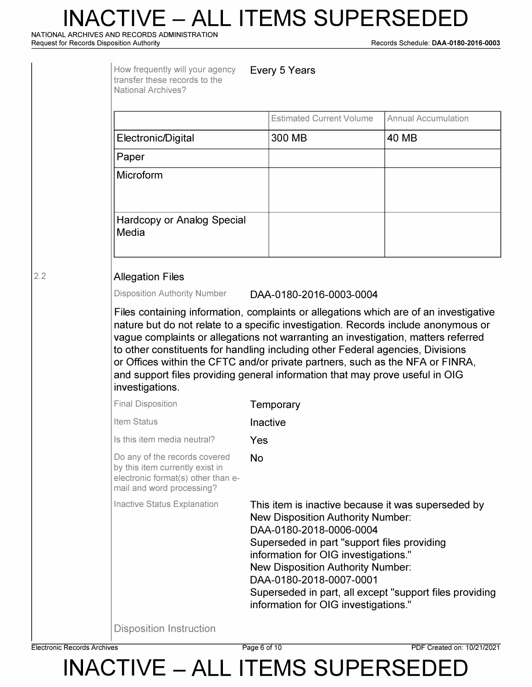**NATIONAL ARCHIVES AND RECORDS ADMINISTRATION** 

**Request for Records Disposition Authority Records Schedule: DAA-0180-2016-0003** 

|            | How frequently will your agency<br>transfer these records to the<br><b>National Archives?</b>                                                                                                                                                                                                                                                                                                                                                                                                                                          | Every 5 Years                                                                                                                                                                                                                                                                                                                                                                              |                            |  |  |  |
|------------|----------------------------------------------------------------------------------------------------------------------------------------------------------------------------------------------------------------------------------------------------------------------------------------------------------------------------------------------------------------------------------------------------------------------------------------------------------------------------------------------------------------------------------------|--------------------------------------------------------------------------------------------------------------------------------------------------------------------------------------------------------------------------------------------------------------------------------------------------------------------------------------------------------------------------------------------|----------------------------|--|--|--|
|            |                                                                                                                                                                                                                                                                                                                                                                                                                                                                                                                                        | <b>Estimated Current Volume</b>                                                                                                                                                                                                                                                                                                                                                            | <b>Annual Accumulation</b> |  |  |  |
|            | Electronic/Digital                                                                                                                                                                                                                                                                                                                                                                                                                                                                                                                     | 300 MB                                                                                                                                                                                                                                                                                                                                                                                     | <b>40 MB</b>               |  |  |  |
|            | Paper                                                                                                                                                                                                                                                                                                                                                                                                                                                                                                                                  |                                                                                                                                                                                                                                                                                                                                                                                            |                            |  |  |  |
|            | Microform                                                                                                                                                                                                                                                                                                                                                                                                                                                                                                                              |                                                                                                                                                                                                                                                                                                                                                                                            |                            |  |  |  |
|            | <b>Hardcopy or Analog Special</b><br>Media                                                                                                                                                                                                                                                                                                                                                                                                                                                                                             |                                                                                                                                                                                                                                                                                                                                                                                            |                            |  |  |  |
| $\cdot$ .2 | <b>Allegation Files</b>                                                                                                                                                                                                                                                                                                                                                                                                                                                                                                                |                                                                                                                                                                                                                                                                                                                                                                                            |                            |  |  |  |
|            | <b>Disposition Authority Number</b><br>DAA-0180-2016-0003-0004                                                                                                                                                                                                                                                                                                                                                                                                                                                                         |                                                                                                                                                                                                                                                                                                                                                                                            |                            |  |  |  |
|            | Files containing information, complaints or allegations which are of an investigative<br>nature but do not relate to a specific investigation. Records include anonymous or<br>vague complaints or allegations not warranting an investigation, matters referred<br>to other constituents for handling including other Federal agencies, Divisions<br>or Offices within the CFTC and/or private partners, such as the NFA or FINRA,<br>and support files providing general information that may prove useful in OIG<br>investigations. |                                                                                                                                                                                                                                                                                                                                                                                            |                            |  |  |  |
|            | <b>Final Disposition</b>                                                                                                                                                                                                                                                                                                                                                                                                                                                                                                               | Temporary                                                                                                                                                                                                                                                                                                                                                                                  |                            |  |  |  |
|            | Item Status                                                                                                                                                                                                                                                                                                                                                                                                                                                                                                                            | Inactive                                                                                                                                                                                                                                                                                                                                                                                   |                            |  |  |  |
|            | Is this item media neutral?                                                                                                                                                                                                                                                                                                                                                                                                                                                                                                            | Yes                                                                                                                                                                                                                                                                                                                                                                                        |                            |  |  |  |
|            | Do any of the records covered<br>by this item currently exist in<br>electronic format(s) other than e-<br>mail and word processing?                                                                                                                                                                                                                                                                                                                                                                                                    | <b>No</b>                                                                                                                                                                                                                                                                                                                                                                                  |                            |  |  |  |
|            | Inactive Status Explanation                                                                                                                                                                                                                                                                                                                                                                                                                                                                                                            | This item is inactive because it was superseded by<br><b>New Disposition Authority Number:</b><br>DAA-0180-2018-0006-0004<br>Superseded in part "support files providing<br>information for OIG investigations."<br><b>New Disposition Authority Number:</b><br>DAA-0180-2018-0007-0001<br>Superseded in part, all except "support files providing<br>information for OIG investigations." |                            |  |  |  |
|            | <b>Disposition Instruction</b>                                                                                                                                                                                                                                                                                                                                                                                                                                                                                                         |                                                                                                                                                                                                                                                                                                                                                                                            |                            |  |  |  |

**Electronic Records Archives** Page 6 of 10 PDF Created on: 10/21/2021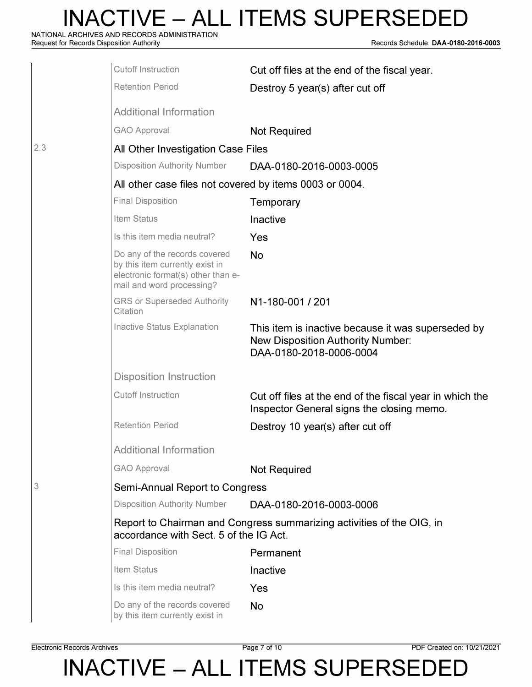**NATIONAL ARCHIVES AND RECORDS ADMINISTRATION** 

**Request for Records Disposition Authority Records Schedule: DAA-0180-2016-0003** 

|     | <b>Cutoff Instruction</b>                                                                                                           | Cut off files at the end of the fiscal year.                                                                              |
|-----|-------------------------------------------------------------------------------------------------------------------------------------|---------------------------------------------------------------------------------------------------------------------------|
|     | <b>Retention Period</b>                                                                                                             | Destroy 5 year(s) after cut off                                                                                           |
|     | <b>Additional Information</b>                                                                                                       |                                                                                                                           |
|     | <b>GAO Approval</b>                                                                                                                 | <b>Not Required</b>                                                                                                       |
| 2.3 | All Other Investigation Case Files                                                                                                  |                                                                                                                           |
|     | <b>Disposition Authority Number</b>                                                                                                 | DAA-0180-2016-0003-0005                                                                                                   |
|     | All other case files not covered by items 0003 or 0004.                                                                             |                                                                                                                           |
|     | <b>Final Disposition</b>                                                                                                            | Temporary                                                                                                                 |
|     | Item Status                                                                                                                         | Inactive                                                                                                                  |
|     | Is this item media neutral?                                                                                                         | Yes                                                                                                                       |
|     | Do any of the records covered<br>by this item currently exist in<br>electronic format(s) other than e-<br>mail and word processing? | <b>No</b>                                                                                                                 |
|     | <b>GRS or Superseded Authority</b><br>Citation                                                                                      | N1-180-001 / 201                                                                                                          |
|     | <b>Inactive Status Explanation</b>                                                                                                  | This item is inactive because it was superseded by<br><b>New Disposition Authority Number:</b><br>DAA-0180-2018-0006-0004 |
|     | <b>Disposition Instruction</b>                                                                                                      |                                                                                                                           |
|     | <b>Cutoff Instruction</b>                                                                                                           | Cut off files at the end of the fiscal year in which the<br>Inspector General signs the closing memo.                     |
|     | <b>Retention Period</b>                                                                                                             | Destroy 10 year(s) after cut off                                                                                          |
|     | <b>Additional Information</b>                                                                                                       |                                                                                                                           |
|     | <b>GAO Approval</b>                                                                                                                 | <b>Not Required</b>                                                                                                       |
| 3   | Semi-Annual Report to Congress                                                                                                      |                                                                                                                           |
|     | <b>Disposition Authority Number</b>                                                                                                 | DAA-0180-2016-0003-0006                                                                                                   |
|     | accordance with Sect. 5 of the IG Act.                                                                                              | Report to Chairman and Congress summarizing activities of the OIG, in                                                     |
|     | <b>Final Disposition</b>                                                                                                            | Permanent                                                                                                                 |
|     | Item Status                                                                                                                         | Inactive                                                                                                                  |
|     | Is this item media neutral?                                                                                                         | Yes                                                                                                                       |
|     | Do any of the records covered<br>by this item currently exist in                                                                    | <b>No</b>                                                                                                                 |

**Electronic Records Archives** Page 7 of 10 PDF Created on: 10/21/2021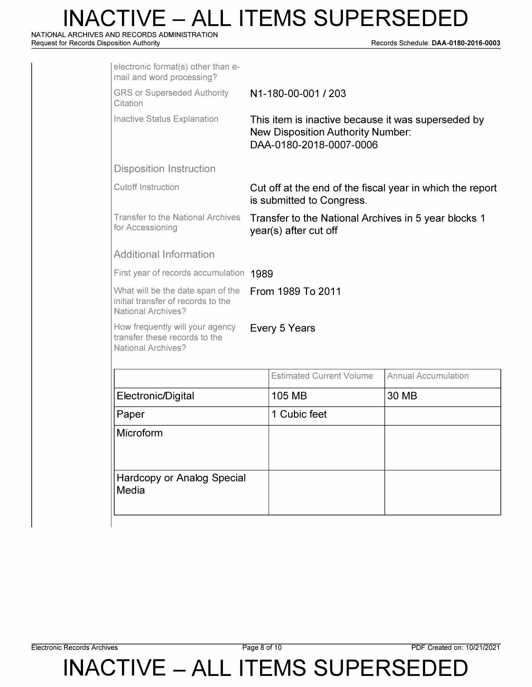**NATIONAL ARCHIVES AND RECORDS ADMINISTRATION** 

**Request for Records Disposition Authority Records Schedule: DAA-0180-2016-0003** 

| electronic format(s) other than e-<br>mail and word processing?                                      |                     |                                                                                                                           |                                                           |  |
|------------------------------------------------------------------------------------------------------|---------------------|---------------------------------------------------------------------------------------------------------------------------|-----------------------------------------------------------|--|
| <b>GRS or Superseded Authority</b><br>Citation                                                       | N1-180-00-001 / 203 |                                                                                                                           |                                                           |  |
| <b>Inactive Status Explanation</b>                                                                   |                     | This item is inactive because it was superseded by<br><b>New Disposition Authority Number:</b><br>DAA-0180-2018-0007-0006 |                                                           |  |
| <b>Disposition Instruction</b>                                                                       |                     |                                                                                                                           |                                                           |  |
| <b>Cutoff Instruction</b>                                                                            |                     | is submitted to Congress.                                                                                                 | Cut off at the end of the fiscal year in which the report |  |
| <b>Transfer to the National Archives</b><br>for Accessioning                                         |                     | Transfer to the National Archives in 5 year blocks 1<br>year(s) after cut off                                             |                                                           |  |
| <b>Additional Information</b>                                                                        |                     |                                                                                                                           |                                                           |  |
| First year of records accumulation 1989                                                              |                     |                                                                                                                           |                                                           |  |
| What will be the date span of the<br>initial transfer of records to the<br><b>National Archives?</b> | From 1989 To 2011   |                                                                                                                           |                                                           |  |
| How frequently will your agency<br>transfer these records to the<br><b>National Archives?</b>        |                     | Every 5 Years                                                                                                             |                                                           |  |
|                                                                                                      |                     | <b>Estimated Current Volume</b>                                                                                           | <b>Annual Accumulation</b>                                |  |
| Electronic/Digital                                                                                   |                     | <b>105 MB</b>                                                                                                             | 30 MB                                                     |  |
| Paper                                                                                                |                     | 1 Cubic feet                                                                                                              |                                                           |  |
| Microform                                                                                            |                     |                                                                                                                           |                                                           |  |
| <b>Hardcopy or Analog Special</b><br>Media                                                           |                     |                                                                                                                           |                                                           |  |